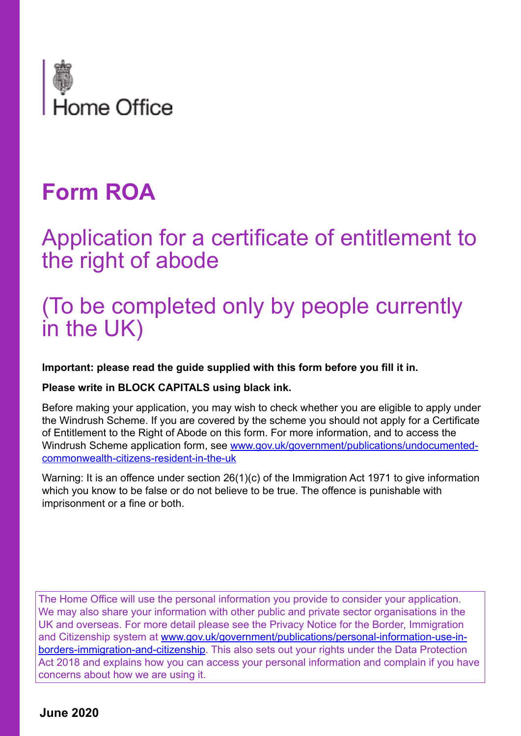

# **Form ROA**

## Application for a certificate of entitlement to the right of abode

# (To be completed only by people currently in the UK)

**Important: please read the guide supplied with this form before you fill it in.**

**Please write in BLOCK CAPITALS using black ink.** 

Before making your application, you may wish to check whether you are eligible to apply under the Windrush Scheme. If you are covered by the scheme you should not apply for a Certificate of Entitlement to the Right of Abode on this form. For more information, and to access the Windrush Scheme application form, see [www.gov.uk/government/publications/undocumented](https://www.gov.uk/government/publications/undocumented-commonwealth-citizens-resident-in-the-uk)[commonwealth-citizens-resident-in-the-uk](https://www.gov.uk/government/publications/undocumented-commonwealth-citizens-resident-in-the-uk)

Warning: It is an offence under section 26(1)(c) of the Immigration Act 1971 to give information which you know to be false or do not believe to be true. The offence is punishable with imprisonment or a fine or both.

The Home Office will use the personal information you provide to consider your application. We may also share your information with other public and private sector organisations in the UK and overseas. For more detail please see the Privacy Notice for the Border, Immigration and Citizenship system at [www.gov.uk/government/publications/personal-information-use-in](https://www.gov.uk/government/publications/personal-information-use-in-borders-immigration-and-citizenship)[borders-immigration-and-citizenship.](https://www.gov.uk/government/publications/personal-information-use-in-borders-immigration-and-citizenship) This also sets out your rights under the Data Protection Act 2018 and explains how you can access your personal information and complain if you have concerns about how we are using it.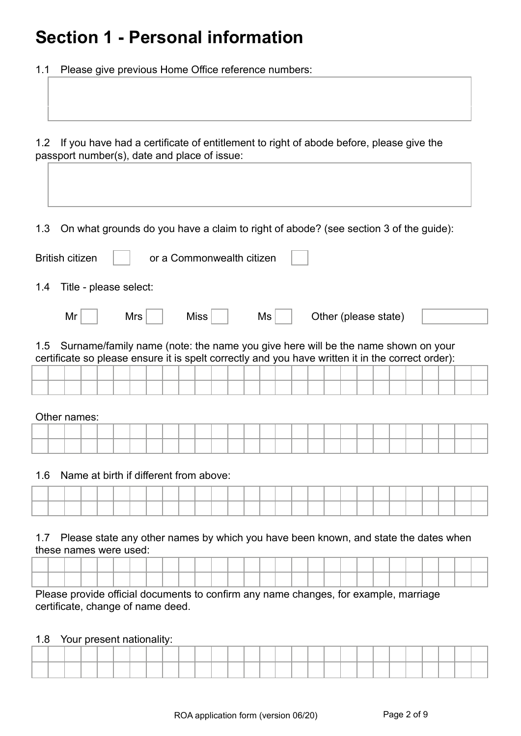## **Section 1 - Personal information**

1.1 Please give previous Home Office reference numbers:

1.2 If you have had a certificate of entitlement to right of abode before, please give the passport number(s), date and place of issue:

1.3 On what grounds do you have a claim to right of abode? (see section 3 of the guide):

|     | <b>British citizen</b>                                                                                                                                                                |  |     |  | or a Commonwealth citizen |  |    |  |  |                      |  |  |  |  |
|-----|---------------------------------------------------------------------------------------------------------------------------------------------------------------------------------------|--|-----|--|---------------------------|--|----|--|--|----------------------|--|--|--|--|
| 1.4 | Title - please select:                                                                                                                                                                |  |     |  |                           |  |    |  |  |                      |  |  |  |  |
|     | Mr                                                                                                                                                                                    |  | Mrs |  | Miss $ $                  |  | Ms |  |  | Other (please state) |  |  |  |  |
| 1.5 | Surname/family name (note: the name you give here will be the name shown on your<br>certificate so please ensure it is spelt correctly and you have written it in the correct order): |  |     |  |                           |  |    |  |  |                      |  |  |  |  |
|     |                                                                                                                                                                                       |  |     |  |                           |  |    |  |  |                      |  |  |  |  |
|     |                                                                                                                                                                                       |  |     |  |                           |  |    |  |  |                      |  |  |  |  |
|     | Other names:                                                                                                                                                                          |  |     |  |                           |  |    |  |  |                      |  |  |  |  |
|     |                                                                                                                                                                                       |  |     |  |                           |  |    |  |  |                      |  |  |  |  |
|     |                                                                                                                                                                                       |  |     |  |                           |  |    |  |  |                      |  |  |  |  |

1.6 Name at birth if different from above:

|  |  | ______ |  |  |  |  |  |  |  |  |  |  |  |
|--|--|--------|--|--|--|--|--|--|--|--|--|--|--|

1.7 Please state any other names by which you have been known, and state the dates when these names were used:

Please provide official documents to confirm any name changes, for example, marriage certificate, change of name deed.

1.8 Your present nationality:

|  |  |  |  |  |  |  |  |  |  |  |  |  | the contract of the contract of the contract of the contract of the contract of the contract of the contract of<br>____<br>_____ |  |
|--|--|--|--|--|--|--|--|--|--|--|--|--|----------------------------------------------------------------------------------------------------------------------------------|--|
|  |  |  |  |  |  |  |  |  |  |  |  |  |                                                                                                                                  |  |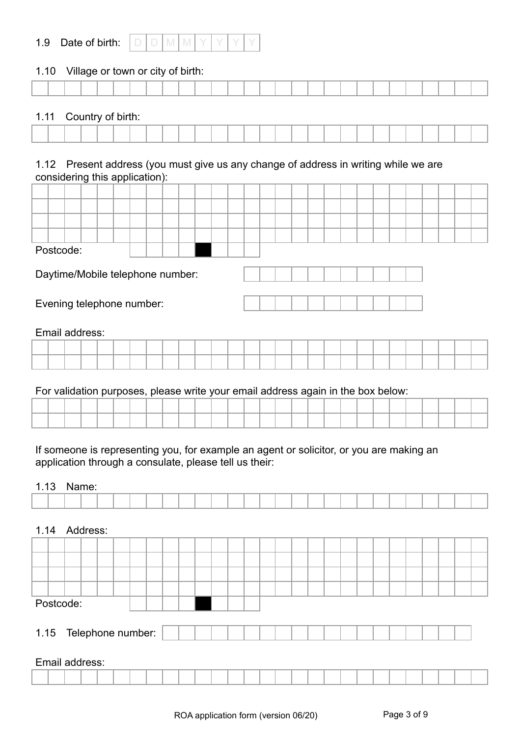| 1.9 | Date of birth: |  |  |  |  |
|-----|----------------|--|--|--|--|
|     |                |  |  |  |  |

#### 1.10 Village or town or city of birth:

|  |  |  | _____ |  |  |                                                                             |  |  |  |  |  |  |  |  |
|--|--|--|-------|--|--|-----------------------------------------------------------------------------|--|--|--|--|--|--|--|--|
|  |  |  |       |  |  |                                                                             |  |  |  |  |  |  |  |  |
|  |  |  |       |  |  |                                                                             |  |  |  |  |  |  |  |  |
|  |  |  |       |  |  |                                                                             |  |  |  |  |  |  |  |  |
|  |  |  |       |  |  |                                                                             |  |  |  |  |  |  |  |  |
|  |  |  |       |  |  | the property of the control of the control of the control of the control of |  |  |  |  |  |  |  |  |
|  |  |  |       |  |  |                                                                             |  |  |  |  |  |  |  |  |

#### 1.11 Country of birth:

#### 1.12 Present address (you must give us any change of address in writing while we are considering this application):

| Postcode:<br>Daytime/Mobile telephone number:<br>Evening telephone number: |  |                |  |  |  |  |  |  |  |  |  |  |  |  |  |  |  |  |  |
|----------------------------------------------------------------------------|--|----------------|--|--|--|--|--|--|--|--|--|--|--|--|--|--|--|--|--|
|                                                                            |  | Email address: |  |  |  |  |  |  |  |  |  |  |  |  |  |  |  |  |  |

#### For validation purposes, please write your email address again in the box below:

If someone is representing you, for example an agent or solicitor, or you are making an application through a consulate, please tell us their:

#### 1.13 Name:

| 1.14                   | Address: |  |  |  |  |  |  |  |  |  |  |  |  |  |
|------------------------|----------|--|--|--|--|--|--|--|--|--|--|--|--|--|
|                        |          |  |  |  |  |  |  |  |  |  |  |  |  |  |
|                        |          |  |  |  |  |  |  |  |  |  |  |  |  |  |
|                        |          |  |  |  |  |  |  |  |  |  |  |  |  |  |
|                        |          |  |  |  |  |  |  |  |  |  |  |  |  |  |
| Postcode:              |          |  |  |  |  |  |  |  |  |  |  |  |  |  |
| 1.15 Telephone number: |          |  |  |  |  |  |  |  |  |  |  |  |  |  |
| Email address:         |          |  |  |  |  |  |  |  |  |  |  |  |  |  |
|                        |          |  |  |  |  |  |  |  |  |  |  |  |  |  |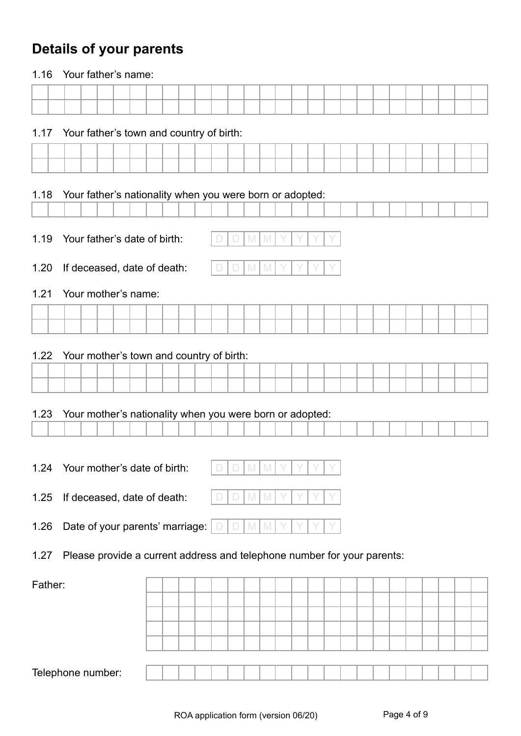### **Details of your parents**

| 1.16                              | Your father's name:                                                     |  |  |  |  |   |     |                |  |  |  |  |  |  |  |
|-----------------------------------|-------------------------------------------------------------------------|--|--|--|--|---|-----|----------------|--|--|--|--|--|--|--|
|                                   |                                                                         |  |  |  |  |   |     |                |  |  |  |  |  |  |  |
|                                   |                                                                         |  |  |  |  |   |     |                |  |  |  |  |  |  |  |
| 1.17                              | Your father's town and country of birth:                                |  |  |  |  |   |     |                |  |  |  |  |  |  |  |
|                                   |                                                                         |  |  |  |  |   |     |                |  |  |  |  |  |  |  |
|                                   |                                                                         |  |  |  |  |   |     |                |  |  |  |  |  |  |  |
|                                   |                                                                         |  |  |  |  |   |     |                |  |  |  |  |  |  |  |
| 1.18                              | Your father's nationality when you were born or adopted:                |  |  |  |  |   |     |                |  |  |  |  |  |  |  |
|                                   |                                                                         |  |  |  |  |   |     |                |  |  |  |  |  |  |  |
| 1.19                              | Your father's date of birth:                                            |  |  |  |  |   | M   | $\mathbb{M}$   |  |  |  |  |  |  |  |
| 1.20                              | If deceased, date of death:                                             |  |  |  |  |   | M   | I M            |  |  |  |  |  |  |  |
| 1.21                              | Your mother's name:                                                     |  |  |  |  |   |     |                |  |  |  |  |  |  |  |
|                                   |                                                                         |  |  |  |  |   |     |                |  |  |  |  |  |  |  |
|                                   |                                                                         |  |  |  |  |   |     |                |  |  |  |  |  |  |  |
| 1.22                              | Your mother's town and country of birth:                                |  |  |  |  |   |     |                |  |  |  |  |  |  |  |
|                                   |                                                                         |  |  |  |  |   |     |                |  |  |  |  |  |  |  |
|                                   |                                                                         |  |  |  |  |   |     |                |  |  |  |  |  |  |  |
|                                   |                                                                         |  |  |  |  |   |     |                |  |  |  |  |  |  |  |
| 1.23                              | Your mother's nationality when you were born or adopted:                |  |  |  |  |   |     |                |  |  |  |  |  |  |  |
|                                   |                                                                         |  |  |  |  |   |     |                |  |  |  |  |  |  |  |
|                                   |                                                                         |  |  |  |  |   |     |                |  |  |  |  |  |  |  |
| 1.24 Your mother's date of birth: |                                                                         |  |  |  |  | 一 |     | $\mathsf{I}$ M |  |  |  |  |  |  |  |
| 1.25                              | If deceased, date of death:                                             |  |  |  |  |   | M   | M              |  |  |  |  |  |  |  |
| 1.26                              | Date of your parents' marriage:                                         |  |  |  |  |   | M M |                |  |  |  |  |  |  |  |
| 1.27                              | Please provide a current address and telephone number for your parents: |  |  |  |  |   |     |                |  |  |  |  |  |  |  |
|                                   |                                                                         |  |  |  |  |   |     |                |  |  |  |  |  |  |  |
| Father:                           |                                                                         |  |  |  |  |   |     |                |  |  |  |  |  |  |  |
|                                   |                                                                         |  |  |  |  |   |     |                |  |  |  |  |  |  |  |
|                                   |                                                                         |  |  |  |  |   |     |                |  |  |  |  |  |  |  |
|                                   |                                                                         |  |  |  |  |   |     |                |  |  |  |  |  |  |  |
|                                   |                                                                         |  |  |  |  |   |     |                |  |  |  |  |  |  |  |
| Telephone number:                 |                                                                         |  |  |  |  |   |     |                |  |  |  |  |  |  |  |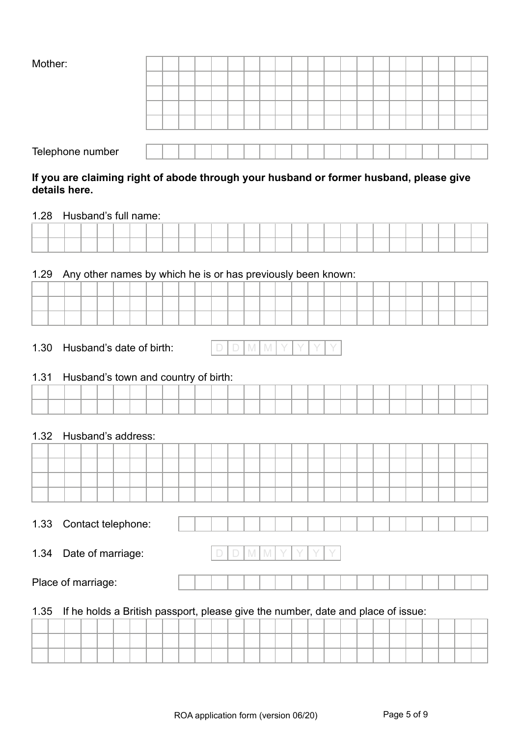| Mother: |
|---------|
|---------|

| Mother:          |  |  |  |  |  |  |  |  |  |  |  |
|------------------|--|--|--|--|--|--|--|--|--|--|--|
|                  |  |  |  |  |  |  |  |  |  |  |  |
|                  |  |  |  |  |  |  |  |  |  |  |  |
|                  |  |  |  |  |  |  |  |  |  |  |  |
|                  |  |  |  |  |  |  |  |  |  |  |  |
|                  |  |  |  |  |  |  |  |  |  |  |  |
| Telephone number |  |  |  |  |  |  |  |  |  |  |  |

#### **If you are claiming right of abode through your husband or former husband, please give details here.**

#### 1.28 Husband's full name:

#### 1.29 Any other names by which he is or has previously been known:

|  |  |  | _____ |  |  |  |  | and the state of the state of the |  | . |  | the contract of the contract of the |  |  |  |
|--|--|--|-------|--|--|--|--|-----------------------------------|--|---|--|-------------------------------------|--|--|--|

#### 1.30 Husband's date of birth:

|--|

#### 1.31 Husband's town and country of birth:

#### 1.32 Husband's address:

| vu | Contact telephone: |  |  |  |  |  |  |  |  |  |  |
|----|--------------------|--|--|--|--|--|--|--|--|--|--|
|    |                    |  |  |  |  |  |  |  |  |  |  |

1.34 Date of marriage: D D M M Y Y Y Y

Place of marriage:

#### 1.35 If he holds a British passport, please give the number, date and place of issue: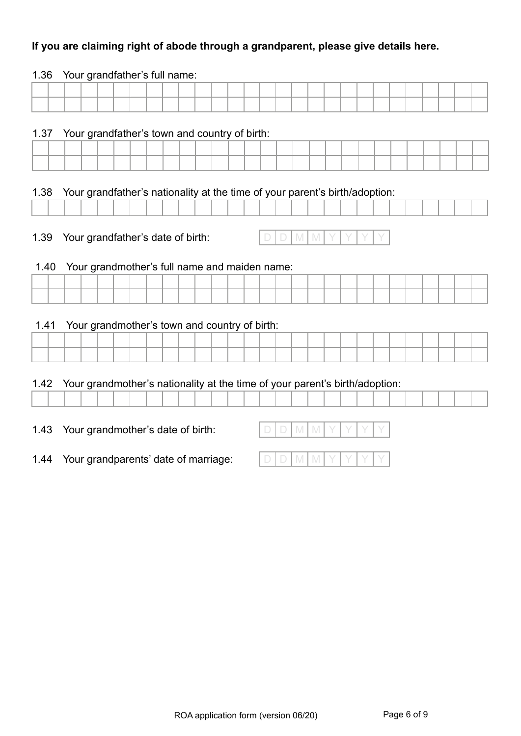#### **If you are claiming right of abode through a grandparent, please give details here.**

# 1.36 Your grandfather's full name: 1.37 Your grandfather's town and country of birth: 1.38 Your grandfather's nationality at the time of your parent's birth/adoption: 1.39 Your grandfather's date of birth:  $\Box$  D M M M 1.40 Your grandmother's full name and maiden name: 1.41 Your grandmother's town and country of birth: 1.42 Your grandmother's nationality at the time of your parent's birth/adoption: 1.43 Your grandmother's date of birth:  $\Box \Box \Box \Box \blacksquare$

1.44 Your grandparents' date of marriage:  $\Box \Box \Box \Box \blacksquare$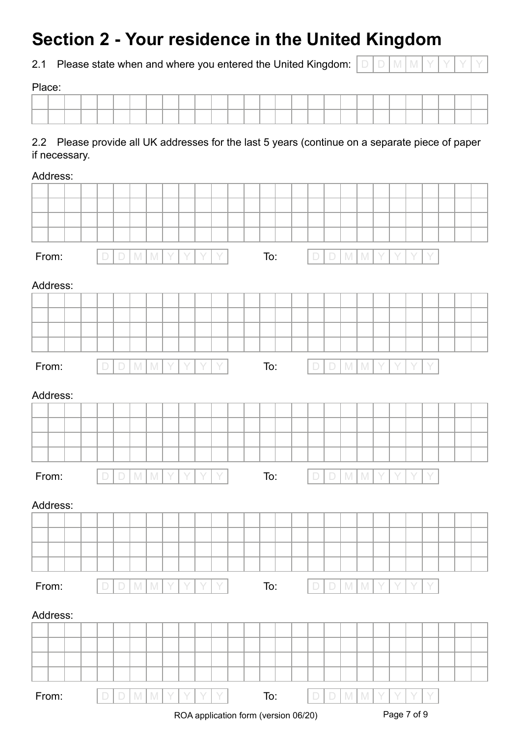## **Section 2 - Your residence in the United Kingdom**

2.1 Please state when and where you entered the United Kingdom:  $\sqrt{\ }$ 

|--|--|--|--|--|--|--|--|--|

Place:

#### 2.2 Please provide all UK addresses for the last 5 years (continue on a separate piece of paper if necessary.

| Address: |                                      |                           |               |  |   |   |   |  |     |  |        |             |                                                                                                            |               |   |  |   |   |  |  |  |
|----------|--------------------------------------|---------------------------|---------------|--|---|---|---|--|-----|--|--------|-------------|------------------------------------------------------------------------------------------------------------|---------------|---|--|---|---|--|--|--|
|          |                                      |                           |               |  |   |   |   |  |     |  |        |             |                                                                                                            |               |   |  |   |   |  |  |  |
|          |                                      |                           |               |  |   |   |   |  |     |  |        |             |                                                                                                            |               |   |  |   |   |  |  |  |
|          |                                      |                           |               |  |   |   |   |  |     |  |        |             |                                                                                                            |               |   |  |   |   |  |  |  |
|          |                                      |                           |               |  |   |   |   |  |     |  |        |             |                                                                                                            |               |   |  |   |   |  |  |  |
| From:    | $\Box$                               | $\mathbb{M}$<br>$\Box$    | M             |  | Y | Y | Y |  | To: |  | $\Box$ | $\Box$      | $\mathbb{M}$                                                                                               | $\mathbb M$   |   |  | Y | Y |  |  |  |
| Address: |                                      |                           |               |  |   |   |   |  |     |  |        |             |                                                                                                            |               |   |  |   |   |  |  |  |
|          |                                      |                           |               |  |   |   |   |  |     |  |        |             |                                                                                                            |               |   |  |   |   |  |  |  |
|          |                                      |                           |               |  |   |   |   |  |     |  |        |             |                                                                                                            |               |   |  |   |   |  |  |  |
|          |                                      |                           |               |  |   |   |   |  |     |  |        |             |                                                                                                            |               |   |  |   |   |  |  |  |
|          |                                      |                           |               |  |   |   |   |  |     |  |        |             |                                                                                                            |               |   |  |   |   |  |  |  |
| From:    | D                                    | D                         |               |  |   |   |   |  |     |  |        | $\Box$      |                                                                                                            |               |   |  |   |   |  |  |  |
|          |                                      | M                         | $\mathbb{M}$  |  |   |   |   |  | To: |  | $\Box$ |             | $\mathbb N$                                                                                                | $\mathbb N$   |   |  |   |   |  |  |  |
| Address: |                                      |                           |               |  |   |   |   |  |     |  |        |             |                                                                                                            |               |   |  |   |   |  |  |  |
|          |                                      |                           |               |  |   |   |   |  |     |  |        |             |                                                                                                            |               |   |  |   |   |  |  |  |
|          |                                      |                           |               |  |   |   |   |  |     |  |        |             |                                                                                                            |               |   |  |   |   |  |  |  |
|          |                                      |                           |               |  |   |   |   |  |     |  |        |             |                                                                                                            |               |   |  |   |   |  |  |  |
|          |                                      |                           |               |  |   |   |   |  |     |  |        |             |                                                                                                            |               |   |  |   |   |  |  |  |
|          |                                      |                           |               |  |   |   |   |  |     |  |        |             |                                                                                                            |               |   |  |   |   |  |  |  |
| From:    | $\Box$                               | $\mathbb{M}$<br>$\Box$    | $\mathbb{M}$  |  | Y | Y | Y |  | To: |  | $\Box$ | $\Box$      | $\mathsf{M}% _{T}=\mathsf{M}_{T}\!\left( a,b\right) ,\ \mathsf{M}_{T}=\mathsf{M}_{T}\!\left( a,b\right) ,$ | $\mathbb N$   | Y |  | Y | Y |  |  |  |
|          |                                      |                           |               |  |   |   |   |  |     |  |        |             |                                                                                                            |               |   |  |   |   |  |  |  |
| Address: |                                      |                           |               |  |   |   |   |  |     |  |        |             |                                                                                                            |               |   |  |   |   |  |  |  |
|          |                                      |                           |               |  |   |   |   |  |     |  |        |             |                                                                                                            |               |   |  |   |   |  |  |  |
|          |                                      |                           |               |  |   |   |   |  |     |  |        |             |                                                                                                            |               |   |  |   |   |  |  |  |
|          |                                      |                           |               |  |   |   |   |  |     |  |        |             |                                                                                                            |               |   |  |   |   |  |  |  |
|          |                                      |                           |               |  |   |   |   |  |     |  |        |             |                                                                                                            |               |   |  |   |   |  |  |  |
| From:    | $\Box$                               | $\Box$                    | $M$ $M$       |  | Y |   |   |  | To: |  | $\Box$ | $\Box$      | M                                                                                                          | $\mathbb{M}$  |   |  |   |   |  |  |  |
|          |                                      |                           |               |  |   |   |   |  |     |  |        |             |                                                                                                            |               |   |  |   |   |  |  |  |
| Address: |                                      |                           |               |  |   |   |   |  |     |  |        |             |                                                                                                            |               |   |  |   |   |  |  |  |
|          |                                      |                           |               |  |   |   |   |  |     |  |        |             |                                                                                                            |               |   |  |   |   |  |  |  |
|          |                                      |                           |               |  |   |   |   |  |     |  |        |             |                                                                                                            |               |   |  |   |   |  |  |  |
|          |                                      |                           |               |  |   |   |   |  |     |  |        |             |                                                                                                            |               |   |  |   |   |  |  |  |
|          |                                      |                           |               |  |   |   |   |  |     |  |        |             |                                                                                                            |               |   |  |   |   |  |  |  |
|          |                                      |                           |               |  |   |   |   |  |     |  |        |             |                                                                                                            |               |   |  |   |   |  |  |  |
| From:    |                                      | $\mathbbmss{M}$<br>$\Box$ | ${\mathbb M}$ |  |   |   |   |  | To: |  | D      | $\Box$      | $\mathbb N$                                                                                                | ${\mathbb M}$ |   |  |   |   |  |  |  |
|          | ROA application form (version 06/20) |                           |               |  |   |   |   |  |     |  |        | Page 7 of 9 |                                                                                                            |               |   |  |   |   |  |  |  |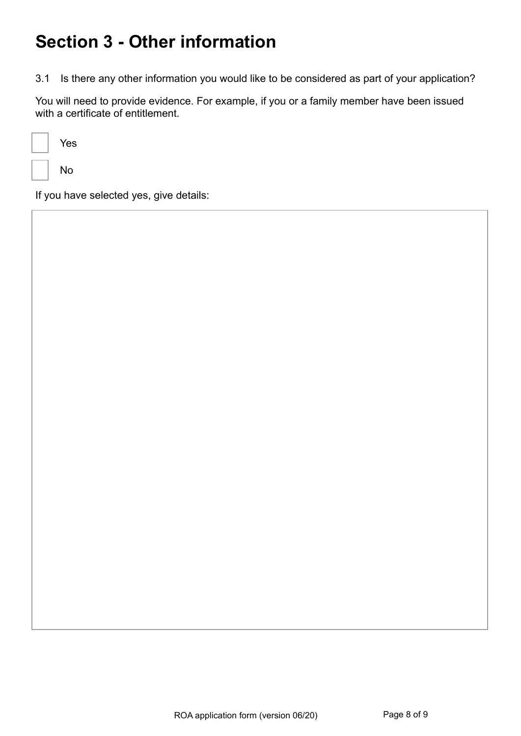## **Section 3 - Other information**

3.1 Is there any other information you would like to be considered as part of your application?

You will need to provide evidence. For example, if you or a family member have been issued with a certificate of entitlement.

| Yes |
|-----|
| No  |

If you have selected yes, give details: